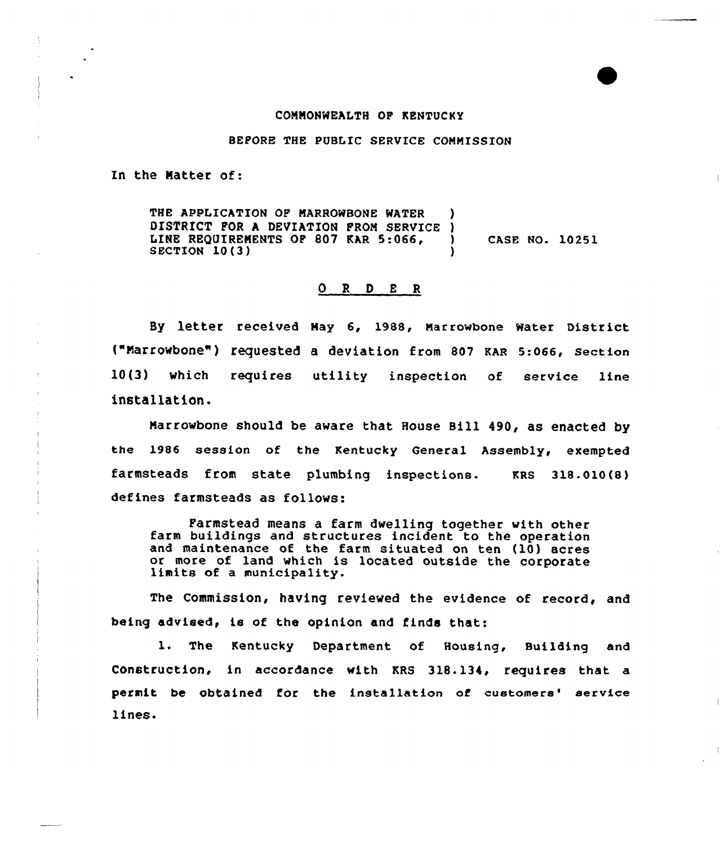## COMMONWEALTH OF KENTVCKY

BEFORE THE PUBLIC SERVICE CONMISSION

In the Matter of:

THE APPLICATION OF MARROWBONE WATER DISTRICT FOR A DEVIATION FROM SERVICE )<br>LINE REQUIREMENTS OF 807 KAR 5:066. LINE REQUIREMENTS OF 807 KAR 5:066,  $\bigcup_{n=1}^{\infty}$  CASE NO. 10251 SECTION 10(3)

## 0 <sup>R</sup> <sup>D</sup> <sup>E</sup> <sup>R</sup>

Sy letter received May 6, 1988, Marrowbone water District {"Marrowbone") requested a deviation from 807 KAR 5:066, section 10(3) which requires utility inspection of service line installation.

Marrowbone should be aware that House Bill 490, as enacted by the 1986 session of the Kentucky General Assembly, exempted farmsteads from state plumbing inspections. KRS 318-010{8) defines farmsteads as follows:

Farmstead means a farm dwelling together with other farm buildings and structures incident to the operation and maintenance of the farm situated on ten (10) acres or more of land which is located outside the corporate limits of <sup>a</sup> municipality.

The Commission, having reviewed the evidence of record, and being advised, is of the opinion and finds that:

1. The Kentucky Department of Housing, Building and Construction, in accordance with KRS 318.134, requires that a permit be obtained for the installation of customers' service lines.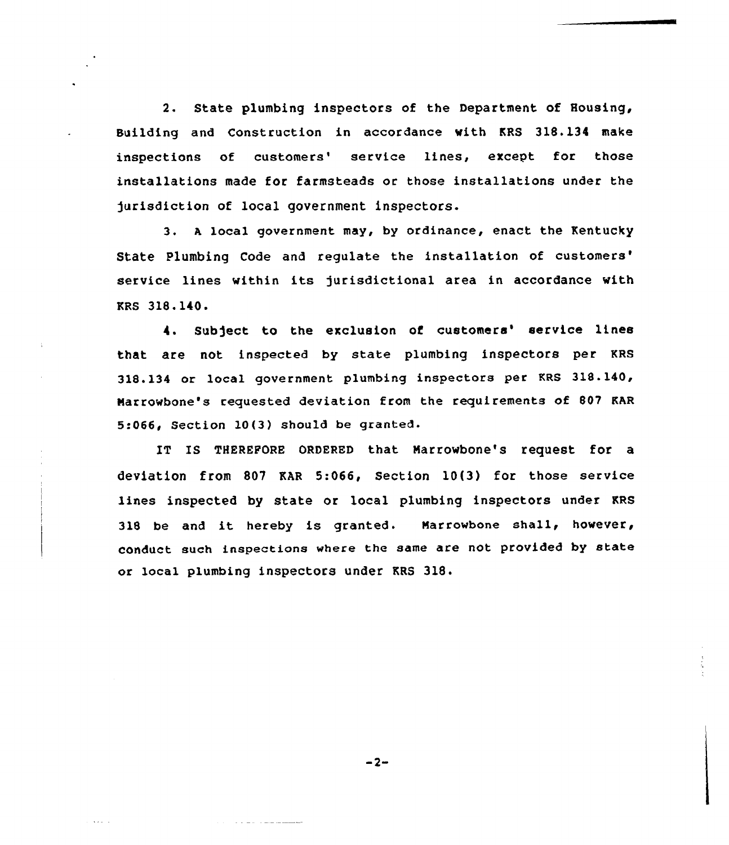2. State plumbing inspectors of the Department of Housing, Building and Construction in accordance with KRS 318.134 make inspections of customers' service lines, except for those installations made for farmsteads or those installations under the )urisdiction of local government inspectors.

3. a local government may, by ordinance, enact the Kentucky State Plumbing Code and regulate the installation of customers' service lines within its jurisdictional area in accordance with KRS 318.140.

4. Subject to the exclusion of customers' service lines that are not inspected by state plumbing inspectors per KRS 318.134 or local government plumbing inspectors per KRS 31&.140, Marrowbone's requested deviation from the requirements of 80? KAR 5:066< Section 10(3) should be granted.

IT IS THEREPORB ORDERED that Marrowbone's request for a deviation from 807 KAR 5:066, Section 10(3) for those service lines inspected by state or local plumbing inspectors under KRS <sup>318</sup> be and it hereby is granted. Marrowbone shall, however, conduct such inspections where the same are not provided by state or local plumbing inspectors under KRS 318.

 $-2-$ 

the state of the state and the

 $\lambda \rightarrow \omega - \omega$